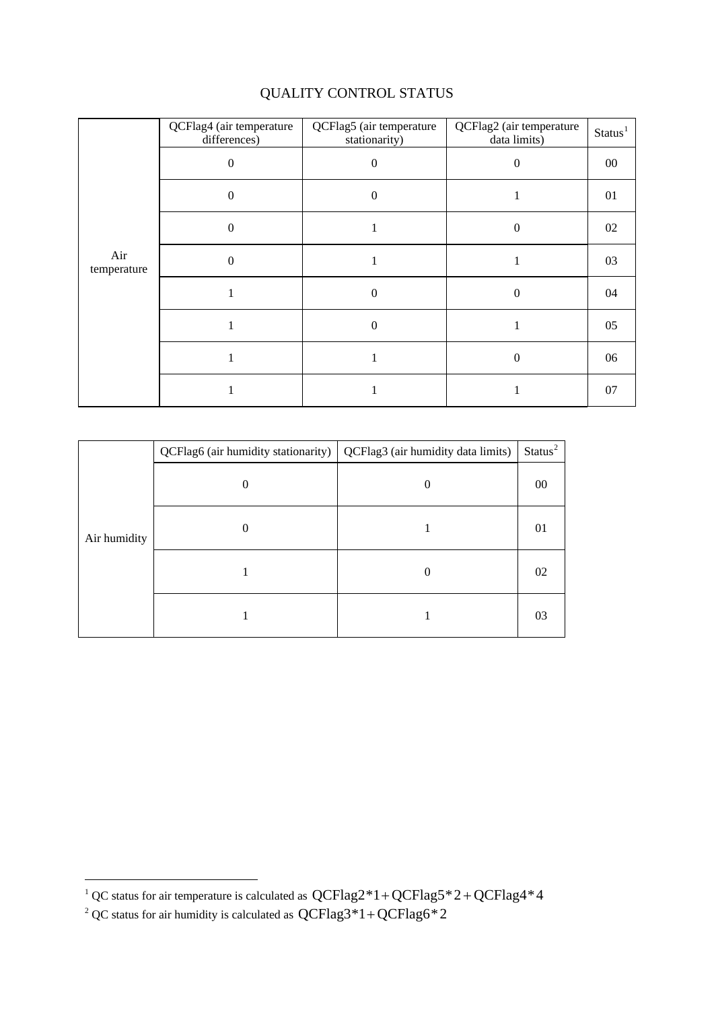|                    | QCFlag4 (air temperature<br>differences) | QCFlag5 (air temperature<br>stationarity) | QCFlag2 (air temperature<br>data limits) | Status <sup>1</sup> |
|--------------------|------------------------------------------|-------------------------------------------|------------------------------------------|---------------------|
| Air<br>temperature | $\Omega$                                 | $\Omega$                                  | 0                                        | $00\,$              |
|                    | $\Omega$                                 | $\Omega$                                  |                                          | 01                  |
|                    | $\Omega$                                 |                                           | $\theta$                                 | 02                  |
|                    | $\Omega$                                 |                                           |                                          | 03                  |
|                    | 1                                        | $\mathbf{0}$                              | $\overline{0}$                           | 04                  |
|                    | 1                                        | $\mathbf{0}$                              | 1                                        | 05                  |
|                    |                                          |                                           | 0                                        | 06                  |
|                    |                                          |                                           |                                          | 07                  |

## QUALITY CONTROL STATUS

|              | QCFlag6 (air humidity stationarity)   QCFlag3 (air humidity data limits) |   | $\text{Status}^2$ |
|--------------|--------------------------------------------------------------------------|---|-------------------|
| Air humidity |                                                                          |   | 00                |
|              | $\theta$                                                                 |   | $\overline{0}$    |
|              |                                                                          | 0 | 02                |
|              |                                                                          |   | 03                |

1

<span id="page-0-0"></span><sup>&</sup>lt;sup>1</sup> QC status for air temperature is calculated as  $QCFlag2*1 + QCFlag5*2 + QCFlag4*4$ 

<span id="page-0-1"></span><sup>&</sup>lt;sup>2</sup> QC status for air humidity is calculated as  $QCFlag3*1 + QCFlag6*2$